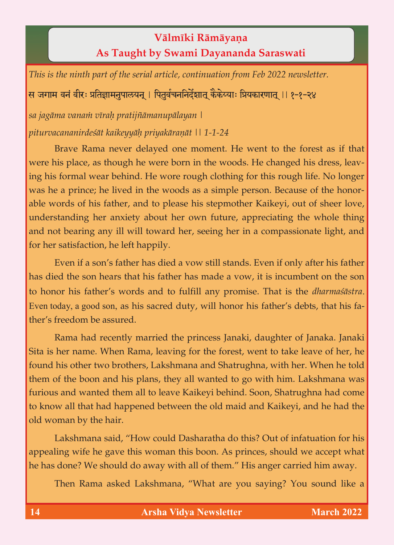## **Välméki Rämäyaëa As Taught by Swami Dayananda Saraswati**

*This is the ninth part of the serial article, continuation from Feb 2022 newsletter.*

<u>स जगाम वनं वीरः प्रतिज्ञामनुपालयन् । पित</u>र्वचननिर्देशात् कैकेय्याः प्रियकारणात् ।। १-१-२४

*sa jagäma vanaà véraù pratijïämanupälayan | piturvacananirdeçät kaikeyyäù priyakäraëät || 1-1-24*

Brave Rama never delayed one moment. He went to the forest as if that were his place, as though he were born in the woods. He changed his dress, leaving his formal wear behind. He wore rough clothing for this rough life. No longer was he a prince; he lived in the woods as a simple person. Because of the honorable words of his father, and to please his stepmother Kaikeyi, out of sheer love, understanding her anxiety about her own future, appreciating the whole thing and not bearing any ill will toward her, seeing her in a compassionate light, and for her satisfaction, he left happily.

Even if a son's father has died a vow still stands. Even if only after his father has died the son hears that his father has made a vow, it is incumbent on the son to honor his father's words and to fulfill any promise. That is the *dharmaçästra*. Even today, a good son, as his sacred duty, will honor his father's debts, that his father's freedom be assured.

Rama had recently married the princess Janaki, daughter of Janaka. Janaki Sita is her name. When Rama, leaving for the forest, went to take leave of her, he found his other two brothers, Lakshmana and Shatrughna, with her. When he told them of the boon and his plans, they all wanted to go with him. Lakshmana was furious and wanted them all to leave Kaikeyi behind. Soon, Shatrughna had come to know all that had happened between the old maid and Kaikeyi, and he had the old woman by the hair.

Lakshmana said, "How could Dasharatha do this? Out of infatuation for his appealing wife he gave this woman this boon. As princes, should we accept what he has done? We should do away with all of them." His anger carried him away.

Then Rama asked Lakshmana, "What are you saying? You sound like a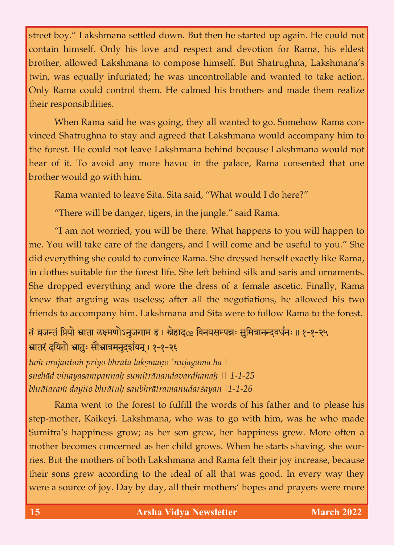street boy." Lakshmana settled down. But then he started up again. He could not contain himself. Only his love and respect and devotion for Rama, his eldest brother, allowed Lakshmana to compose himself. But Shatrughna, Lakshmana's twin, was equally infuriated; he was uncontrollable and wanted to take action. Only Rama could control them. He calmed his brothers and made them realize their responsibilities.

When Rama said he was going, they all wanted to go. Somehow Rama convinced Shatrughna to stay and agreed that Lakshmana would accompany him to the forest. He could not leave Lakshmana behind because Lakshmana would not hear of it. To avoid any more havoc in the palace, Rama consented that one brother would go with him.

Rama wanted to leave Sita. Sita said, "What would I do here?"

"There will be danger, tigers, in the jungle." said Rama.

"I am not worried, you will be there. What happens to you will happen to me. You will take care of the dangers, and I will come and be useful to you." She did everything she could to convince Rama. She dressed herself exactly like Rama, in clothes suitable for the forest life. She left behind silk and saris and ornaments. She dropped everything and wore the dress of a female ascetic. Finally, Rama knew that arguing was useless; after all the negotiations, he allowed his two friends to accompany him. Lakshmana and Sita were to follow Rama to the forest.

## तं व्रजन्तं प्रियो भ्राता लक्ष्मणोऽनुजगाम ह । स्नेहाद $\alpha$  विनयसम्पन्नः सुमित्रानन्दवर्धनः ॥ १-१-२५ भ्रातरं दयितो भ्रातुः सौभ्रात्रमनुदर्शयन् । १-१-२६

*taà vrajantaà priyo bhrätä lakñmaëo 'nujagäma ha | snehäd vinayasampannaù sumitränandavardhanaù || 1-1-25 bhrätaraà dayito bhrätuù saubhrätramanudarçayan |1-1-26*

Rama went to the forest to fulfill the words of his father and to please his step-mother, Kaikeyi. Lakshmana, who was to go with him, was he who made Sumitra's happiness grow; as her son grew, her happiness grew. More often a mother becomes concerned as her child grows. When he starts shaving, she worries. But the mothers of both Lakshmana and Rama felt their joy increase, because their sons grew according to the ideal of all that was good. In every way they were a source of joy. Day by day, all their mothers' hopes and prayers were more